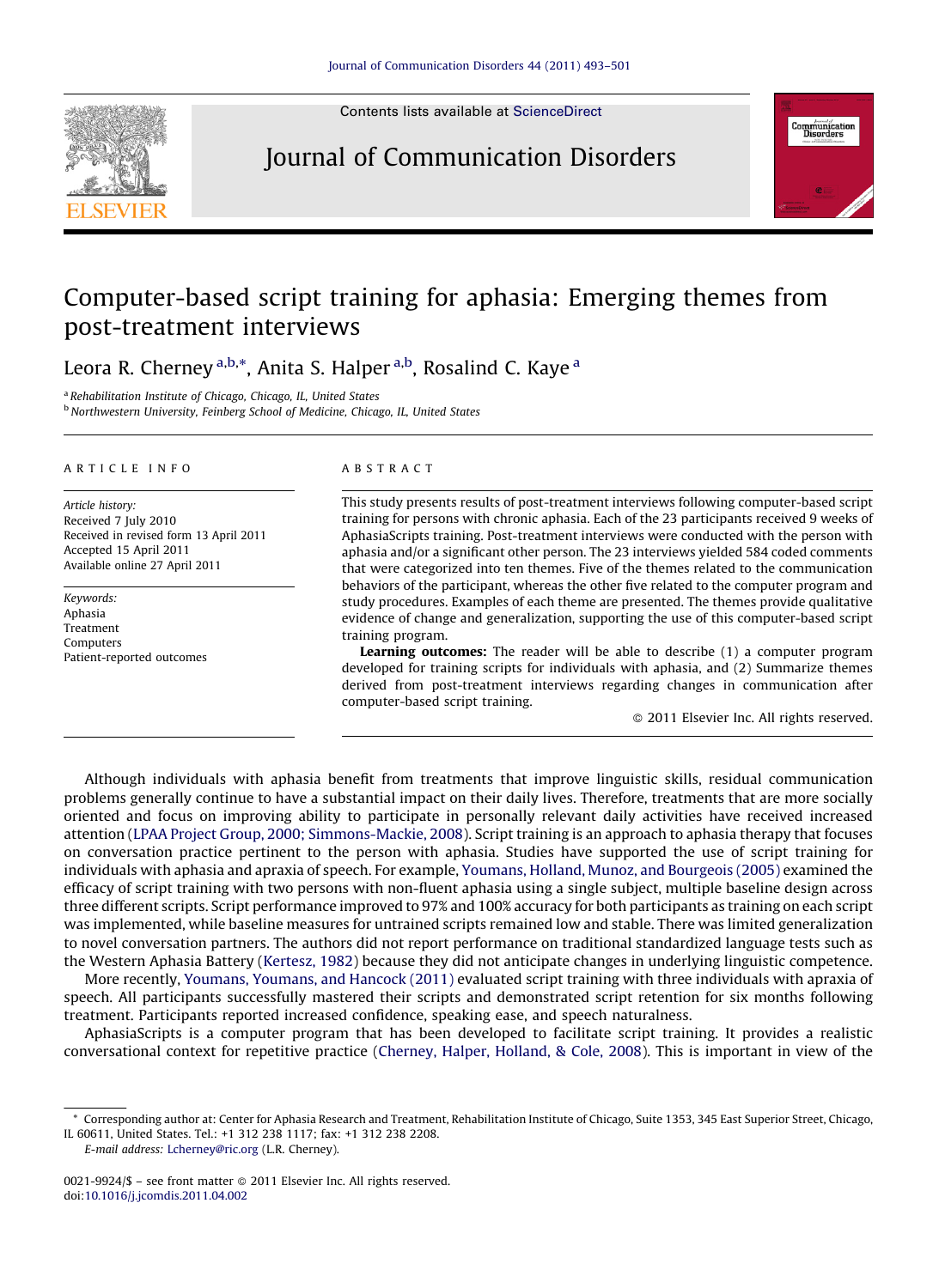

Contents lists available at [ScienceDirect](http://www.sciencedirect.com/science/journal/00219924)

### Journal of Communication Disorders



## Computer-based script training for aphasia: Emerging themes from post-treatment interviews

Leora R. Cherney <sup>a,b,</sup>\*, Anita S. Halper <sup>a,b</sup>, Rosalind C. Kaye <sup>a</sup>

<sup>a</sup> Rehabilitation Institute of Chicago, Chicago, IL, United States

b Northwestern University, Feinberg School of Medicine, Chicago, IL, United States

#### ARTICLE INFO

Article history: Received 7 July 2010 Received in revised form 13 April 2011 Accepted 15 April 2011 Available online 27 April 2011

Keywords: Aphasia Treatment Computers Patient-reported outcomes

#### ABSTRACT

This study presents results of post-treatment interviews following computer-based script training for persons with chronic aphasia. Each of the 23 participants received 9 weeks of AphasiaScripts training. Post-treatment interviews were conducted with the person with aphasia and/or a significant other person. The 23 interviews yielded 584 coded comments that were categorized into ten themes. Five of the themes related to the communication behaviors of the participant, whereas the other five related to the computer program and study procedures. Examples of each theme are presented. The themes provide qualitative evidence of change and generalization, supporting the use of this computer-based script training program.

Learning outcomes: The reader will be able to describe (1) a computer program developed for training scripts for individuals with aphasia, and (2) Summarize themes derived from post-treatment interviews regarding changes in communication after computer-based script training.

- 2011 Elsevier Inc. All rights reserved.

Although individuals with aphasia benefit from treatments that improve linguistic skills, residual communication problems generally continue to have a substantial impact on their daily lives. Therefore, treatments that are more socially oriented and focus on improving ability to participate in personally relevant daily activities have received increased attention ([LPAA Project Group, 2000; Simmons-Mackie, 2008\)](#page--1-0). Script training is an approach to aphasia therapy that focuses on conversation practice pertinent to the person with aphasia. Studies have supported the use of script training for individuals with aphasia and apraxia of speech. For example, [Youmans, Holland, Munoz, and Bourgeois \(2005\)](#page--1-0) examined the efficacy of script training with two persons with non-fluent aphasia using a single subject, multiple baseline design across three different scripts. Script performance improved to 97% and 100% accuracy for both participants as training on each script was implemented, while baseline measures for untrained scripts remained low and stable. There was limited generalization to novel conversation partners. The authors did not report performance on traditional standardized language tests such as the Western Aphasia Battery ([Kertesz, 1982\)](#page--1-0) because they did not anticipate changes in underlying linguistic competence.

More recently, [Youmans, Youmans, and Hancock \(2011\)](#page--1-0) evaluated script training with three individuals with apraxia of speech. All participants successfully mastered their scripts and demonstrated script retention for six months following treatment. Participants reported increased confidence, speaking ease, and speech naturalness.

AphasiaScripts is a computer program that has been developed to facilitate script training. It provides a realistic conversational context for repetitive practice [\(Cherney, Halper, Holland, & Cole, 2008\)](#page--1-0). This is important in view of the

E-mail address: [Lcherney@ric.org](mailto:Lcherney@ric.org) (L.R. Cherney).

<sup>\*</sup> Corresponding author at: Center for Aphasia Research and Treatment, Rehabilitation Institute of Chicago, Suite 1353, 345 East Superior Street, Chicago, IL 60611, United States. Tel.: +1 312 238 1117; fax: +1 312 238 2208.

<sup>0021-9924/\$ –</sup> see front matter © 2011 Elsevier Inc. All rights reserved. doi:[10.1016/j.jcomdis.2011.04.002](http://dx.doi.org/10.1016/j.jcomdis.2011.04.002)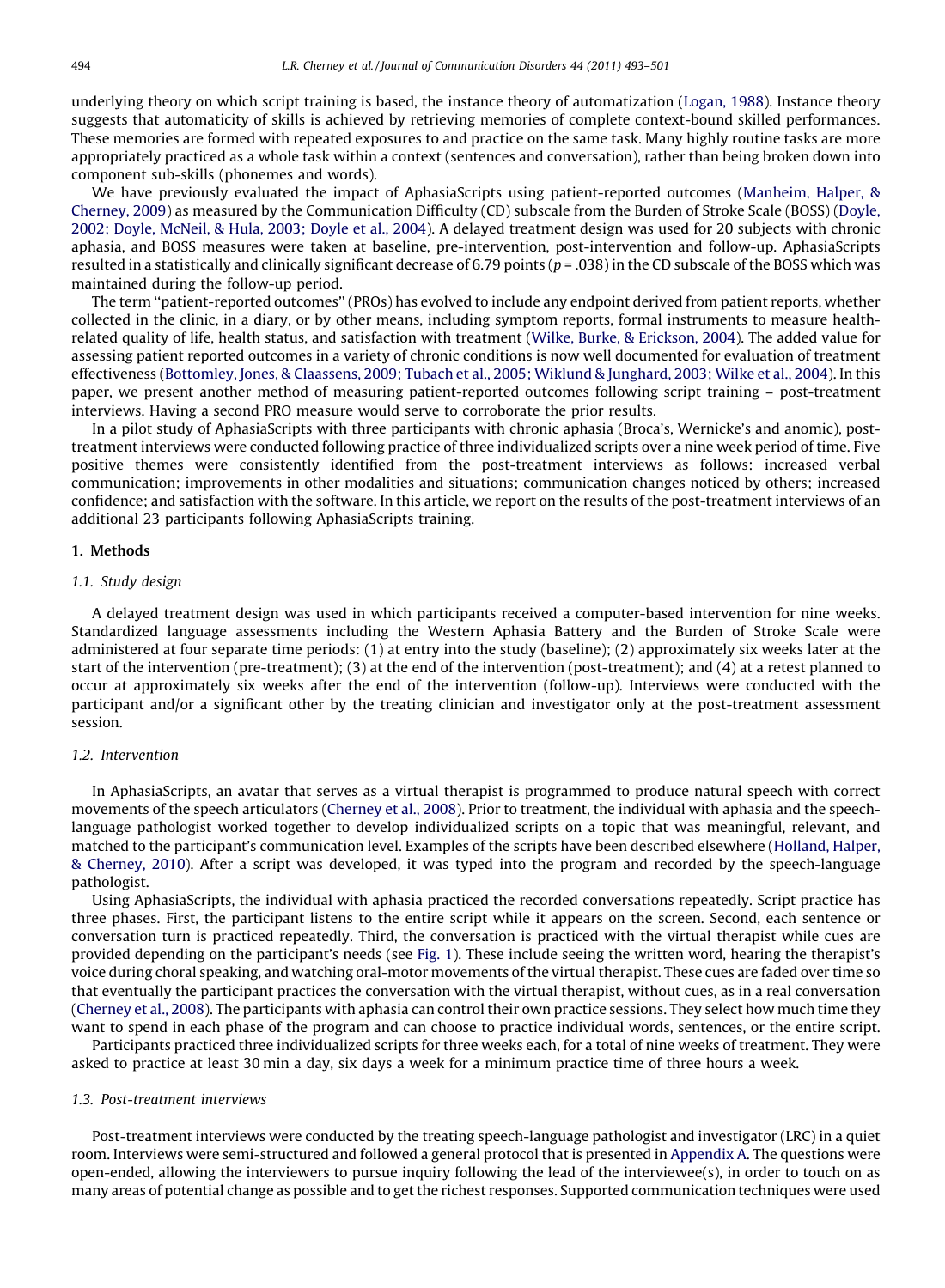underlying theory on which script training is based, the instance theory of automatization ([Logan, 1988](#page--1-0)). Instance theory suggests that automaticity of skills is achieved by retrieving memories of complete context-bound skilled performances. These memories are formed with repeated exposures to and practice on the same task. Many highly routine tasks are more appropriately practiced as a whole task within a context (sentences and conversation), rather than being broken down into component sub-skills (phonemes and words).

We have previously evaluated the impact of AphasiaScripts using patient-reported outcomes [\(Manheim, Halper, &](#page--1-0) [Cherney, 2009\)](#page--1-0) as measured by the Communication Difficulty (CD) subscale from the Burden of Stroke Scale (BOSS) [\(Doyle,](#page--1-0) [2002; Doyle, McNeil, & Hula, 2003; Doyle et al., 2004\)](#page--1-0). A delayed treatment design was used for 20 subjects with chronic aphasia, and BOSS measures were taken at baseline, pre-intervention, post-intervention and follow-up. AphasiaScripts resulted in a statistically and clinically significant decrease of 6.79 points ( $p = .038$ ) in the CD subscale of the BOSS which was maintained during the follow-up period.

The term ''patient-reported outcomes'' (PROs) has evolved to include any endpoint derived from patient reports, whether collected in the clinic, in a diary, or by other means, including symptom reports, formal instruments to measure healthrelated quality of life, health status, and satisfaction with treatment [\(Wilke, Burke, & Erickson, 2004\)](#page--1-0). The added value for assessing patient reported outcomes in a variety of chronic conditions is now well documented for evaluation of treatment effectiveness [\(Bottomley, Jones, & Claassens, 2009; Tubach et al., 2005; Wiklund & Junghard, 2003; Wilke et al., 2004](#page--1-0)). In this paper, we present another method of measuring patient-reported outcomes following script training – post-treatment interviews. Having a second PRO measure would serve to corroborate the prior results.

In a pilot study of AphasiaScripts with three participants with chronic aphasia (Broca's, Wernicke's and anomic), posttreatment interviews were conducted following practice of three individualized scripts over a nine week period of time. Five positive themes were consistently identified from the post-treatment interviews as follows: increased verbal communication; improvements in other modalities and situations; communication changes noticed by others; increased confidence; and satisfaction with the software. In this article, we report on the results of the post-treatment interviews of an additional 23 participants following AphasiaScripts training.

#### 1. Methods

#### 1.1. Study design

A delayed treatment design was used in which participants received a computer-based intervention for nine weeks. Standardized language assessments including the Western Aphasia Battery and the Burden of Stroke Scale were administered at four separate time periods: (1) at entry into the study (baseline); (2) approximately six weeks later at the start of the intervention (pre-treatment); (3) at the end of the intervention (post-treatment); and (4) at a retest planned to occur at approximately six weeks after the end of the intervention (follow-up). Interviews were conducted with the participant and/or a significant other by the treating clinician and investigator only at the post-treatment assessment session.

#### 1.2. Intervention

In AphasiaScripts, an avatar that serves as a virtual therapist is programmed to produce natural speech with correct movements of the speech articulators ([Cherney et al., 2008\)](#page--1-0). Prior to treatment, the individual with aphasia and the speechlanguage pathologist worked together to develop individualized scripts on a topic that was meaningful, relevant, and matched to the participant's communication level. Examples of the scripts have been described elsewhere ([Holland, Halper,](#page--1-0) [& Cherney, 2010\)](#page--1-0). After a script was developed, it was typed into the program and recorded by the speech-language pathologist.

Using AphasiaScripts, the individual with aphasia practiced the recorded conversations repeatedly. Script practice has three phases. First, the participant listens to the entire script while it appears on the screen. Second, each sentence or conversation turn is practiced repeatedly. Third, the conversation is practiced with the virtual therapist while cues are provided depending on the participant's needs (see [Fig. 1](#page--1-0)). These include seeing the written word, hearing the therapist's voice during choral speaking, and watching oral-motor movements of the virtual therapist. These cues are faded over time so that eventually the participant practices the conversation with the virtual therapist, without cues, as in a real conversation [\(Cherney et al., 2008\)](#page--1-0). The participants with aphasia can control their own practice sessions. They select how much time they want to spend in each phase of the program and can choose to practice individual words, sentences, or the entire script.

Participants practiced three individualized scripts for three weeks each, for a total of nine weeks of treatment. They were asked to practice at least 30 min a day, six days a week for a minimum practice time of three hours a week.

#### 1.3. Post-treatment interviews

Post-treatment interviews were conducted by the treating speech-language pathologist and investigator (LRC) in a quiet room. Interviews were semi-structured and followed a general protocol that is presented in [Appendix A](#page--1-0). The questions were open-ended, allowing the interviewers to pursue inquiry following the lead of the interviewee(s), in order to touch on as many areas of potential change as possible and to get the richest responses. Supported communication techniques were used